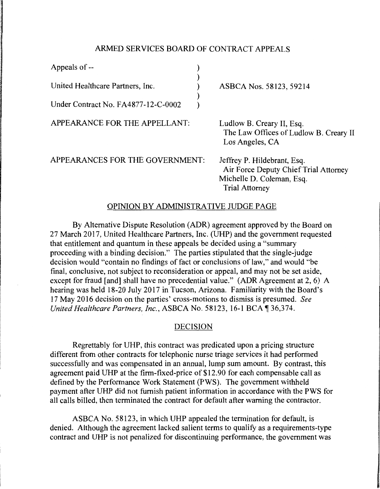## ARMED SERVICES BOARD OF CONTRACT APPEALS

| Appeals of --                       |                                                                                                                            |
|-------------------------------------|----------------------------------------------------------------------------------------------------------------------------|
| United Healthcare Partners, Inc.    | ASBCA Nos. 58123, 59214                                                                                                    |
| Under Contract No. FA4877-12-C-0002 |                                                                                                                            |
| APPEARANCE FOR THE APPELLANT:       | Ludlow B. Creary II, Esq.<br>The Law Offices of Ludlow B. Creary II<br>Los Angeles, CA                                     |
| APPEARANCES FOR THE GOVERNMENT:     | Jeffrey P. Hildebrant, Esq.<br>Air Force Deputy Chief Trial Attorney<br>Michelle D. Coleman, Esq.<br><b>Trial Attorney</b> |

## OPINION BY ADMINISTRATIVE JUDGE PAGE

By Alternative Dispute Resolution (ADR) agreement approved by the Board on 27 March 2017, United Healthcare Partners, Inc. (UHP) and the government requested that entitlement and quantum in these appeals be decided using a "summary proceeding with a binding decision." The parties stipulated that the single-judge decision would "contain no findings of fact or conclusions of law," and would "be final, conclusive, not subject to reconsideration or appeal, and may not be set aside, except for fraud [and] shall have no precedential value." (ADR Agreement at 2, 6) A hearing was held 18-20 July 2017 in Tucson, Arizona. Familiarity with the Board's 1 7 May 2016 decision on the parties' cross-motions to dismiss is presumed. *See United Healthcare Partners, Inc., ASBCA No.* 58123, 16-1 BCA ¶ 36,374.

## DECISION

Regrettably for UHP, this contract was predicated upon a pricing structure different from other contracts for telephonic nurse triage services it had performed successfully and was compensated in an annual, lump sum amount. By contrast, this agreement paid UHP at the firm-fixed-price of \$12.90 for each compensable call as defined by the Performance Work Statement (PWS). The government withheld payment after UHP did not furnish patient information in accordance with the PWS for all calls billed, then terminated the contract for default after warning the contractor.

ASBCA No. 58123, in which UHP appealed the termination for default, is denied. Although the agreement lacked salient terms to qualify as a requirements-type contract and UHP is not penalized for discontinuing performance, the government was